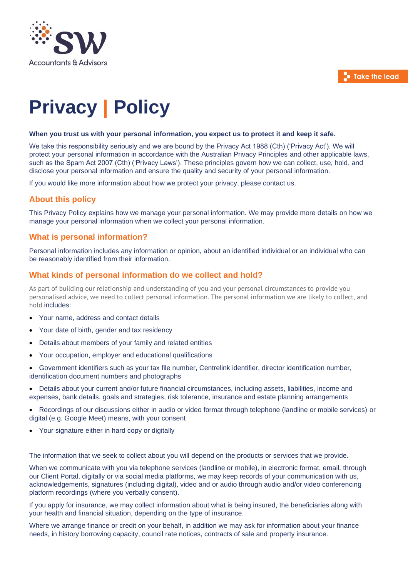

# **Privacy | Policy**

#### **When you trust us with your personal information, you expect us to protect it and keep it safe.**

We take this responsibility seriously and we are bound by the Privacy Act 1988 (Cth) ('Privacy Act'). We will protect your personal information in accordance with the Australian Privacy Principles and other applicable laws, such as the Spam Act 2007 (Cth) ('Privacy Laws'). These principles govern how we can collect, use, hold, and disclose your personal information and ensure the quality and security of your personal information.

If you would like more information about how we protect your privacy, please contact us.

## **About this policy**

This Privacy Policy explains how we manage your personal information. We may provide more details on how we manage your personal information when we collect your personal information.

## **What is personal information?**

Personal information includes any information or opinion, about an identified individual or an individual who can be reasonably identified from their information.

## **What kinds of personal information do we collect and hold?**

As part of building our relationship and understanding of you and your personal circumstances to provide you personalised advice, we need to collect personal information. The personal information we are likely to collect, and hold includes:

- Your name, address and contact details
- Your date of birth, gender and tax residency
- Details about members of your family and related entities
- Your occupation, employer and educational qualifications
- Government identifiers such as your tax file number, Centrelink identifier, director identification number, identification document numbers and photographs
- Details about your current and/or future financial circumstances, including assets, liabilities, income and expenses, bank details, goals and strategies, risk tolerance, insurance and estate planning arrangements
- Recordings of our discussions either in audio or video format through telephone (landline or mobile services) or digital (e.g. Google Meet) means, with your consent
- Your signature either in hard copy or digitally

The information that we seek to collect about you will depend on the products or services that we provide.

When we communicate with you via telephone services (landline or mobile), in electronic format, email, through our Client Portal, digitally or via social media platforms, we may keep records of your communication with us, acknowledgements, signatures (including digital), video and or audio through audio and/or video conferencing platform recordings (where you verbally consent).

If you apply for insurance, we may collect information about what is being insured, the beneficiaries along with your health and financial situation, depending on the type of insurance.

Where we arrange finance or credit on your behalf, in addition we may ask for information about your finance needs, in history borrowing capacity, council rate notices, contracts of sale and property insurance.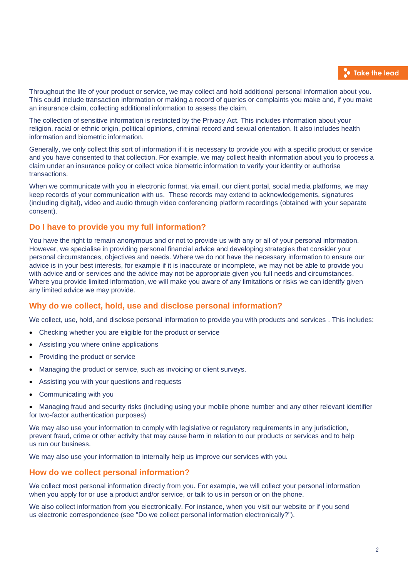Throughout the life of your product or service, we may collect and hold additional personal information about you. This could include transaction information or making a record of queries or complaints you make and, if you make an insurance claim, collecting additional information to assess the claim.

The collection of sensitive information is restricted by the Privacy Act. This includes information about your religion, racial or ethnic origin, political opinions, criminal record and sexual orientation. It also includes health information and biometric information.

Generally, we only collect this sort of information if it is necessary to provide you with a specific product or service and you have consented to that collection. For example, we may collect health information about you to process a claim under an insurance policy or collect voice biometric information to verify your identity or authorise transactions.

When we communicate with you in electronic format, via email, our client portal, social media platforms, we may keep records of your communication with us. These records may extend to acknowledgements, signatures (including digital), video and audio through video conferencing platform recordings (obtained with your separate consent).

## **Do I have to provide you my full information?**

You have the right to remain anonymous and or not to provide us with any or all of your personal information. However, we specialise in providing personal financial advice and developing strategies that consider your personal circumstances, objectives and needs. Where we do not have the necessary information to ensure our advice is in your best interests, for example if it is inaccurate or incomplete, we may not be able to provide you with advice and or services and the advice may not be appropriate given you full needs and circumstances. Where you provide limited information, we will make you aware of any limitations or risks we can identify given any limited advice we may provide.

## **Why do we collect, hold, use and disclose personal information?**

We collect, use, hold, and disclose personal information to provide you with products and services . This includes:

- Checking whether you are eligible for the product or service
- Assisting you where online applications
- Providing the product or service
- Managing the product or service, such as invoicing or client surveys.
- Assisting you with your questions and requests
- Communicating with you

• Managing fraud and security risks (including using your mobile phone number and any other relevant identifier for two-factor authentication purposes)

We may also use your information to comply with legislative or regulatory requirements in any jurisdiction, prevent fraud, crime or other activity that may cause harm in relation to our products or services and to help us run our business.

We may also use your information to internally help us improve our services with you.

## **How do we collect personal information?**

We collect most personal information directly from you. For example, we will collect your personal information when you apply for or use a product and/or service, or talk to us in person or on the phone.

We also collect information from you electronically. For instance, when you visit our website or if you send us electronic correspondence (see "Do we collect personal information electronically?").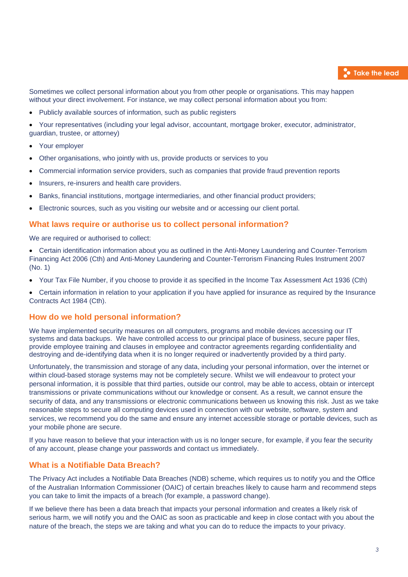Sometimes we collect personal information about you from other people or organisations. This may happen without your direct involvement. For instance, we may collect personal information about you from:

• Publicly available sources of information, such as public registers

• Your representatives (including your legal advisor, accountant, mortgage broker, executor, administrator, guardian, trustee, or attorney)

- Your employer
- Other organisations, who jointly with us, provide products or services to you
- Commercial information service providers, such as companies that provide fraud prevention reports
- Insurers, re-insurers and health care providers.
- Banks, financial institutions, mortgage intermediaries, and other financial product providers;
- Electronic sources, such as you visiting our website and or accessing our client portal.

#### **What laws require or authorise us to collect personal information?**

We are required or authorised to collect:

- Certain identification information about you as outlined in the Anti-Money Laundering and Counter-Terrorism Financing Act 2006 (Cth) and [A](http://www.comlaw.gov.au/Series/F2007L01000)nti-Money Laundering and Counter-Terrorism Financing Rules Instrument 2007 (No. 1)
- Your Tax File Number, if you choose to provide it as specified in the Income Tax Assessment Act 1936 (Cth)
- Certain information in relation to your application if you have applied for insurance as required by the Insurance Contracts Act 1984 (Cth).

#### **How do we hold personal information?**

We have implemented security measures on all computers, programs and mobile devices accessing our IT systems and data backups. We have controlled access to our principal place of business, secure paper files, provide employee training and clauses in employee and contractor agreements regarding confidentiality and destroying and de-identifying data when it is no longer required or inadvertently provided by a third party.

Unfortunately, the transmission and storage of any data, including your personal information, over the internet or within cloud-based storage systems may not be completely secure. Whilst we will endeavour to protect your personal information, it is possible that third parties, outside our control, may be able to access, obtain or intercept transmissions or private communications without our knowledge or consent. As a result, we cannot ensure the security of data, and any transmissions or electronic communications between us knowing this risk. Just as we take reasonable steps to secure all computing devices used in connection with our website, software, system and services, we recommend you do the same and ensure any internet accessible storage or portable devices, such as your mobile phone are secure.

If you have reason to believe that your interaction with us is no longer secure, for example, if you fear the security of any account, please change your passwords and contact us immediately.

## **What is a Notifiable Data Breach?**

The Privacy Act includes a Notifiable Data Breaches (NDB) scheme, which requires us to notify you and the Office of the Australian Information Commissioner (OAIC) of certain breaches likely to cause harm and recommend steps you can take to limit the impacts of a breach (for example, a password change).

If we believe there has been a data breach that impacts your personal information and creates a likely risk of serious harm, we will notify you and the OAIC as soon as practicable and keep in close contact with you about the nature of the breach, the steps we are taking and what you can do to reduce the impacts to your privacy.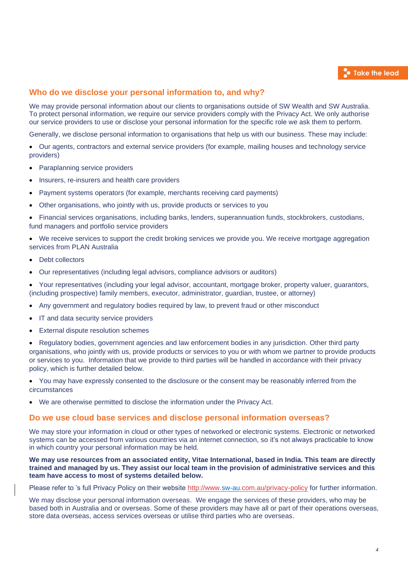## **Who do we disclose your personal information to, and why?**

We may provide personal information about our clients to organisations outside of SW Wealth and SW Australia. To protect personal information, we require our service providers comply with the Privacy Act. We only authorise our service providers to use or disclose your personal information for the specific role we ask them to perform.

Generally, we disclose personal information to organisations that help us with our business. These may include:

• Our agents, contractors and external service providers (for example, mailing houses and technology service providers)

- Paraplanning service providers
- Insurers, re-insurers and health care providers
- Payment systems operators (for example, merchants receiving card payments)
- Other organisations, who jointly with us, provide products or services to you

• Financial services organisations, including banks, lenders, superannuation funds, stockbrokers, custodians, fund managers and portfolio service providers

We receive services to support the credit broking services we provide you. We receive mortgage aggregation services from PLAN Australia

- Debt collectors
- Our representatives (including legal advisors, compliance advisors or auditors)

• Your representatives (including your legal advisor, accountant, mortgage broker, property valuer, guarantors, (including prospective) family members, executor, administrator, guardian, trustee, or attorney)

- Any government and regulatory bodies required by law, to prevent fraud or other misconduct
- IT and data security service providers
- **External dispute resolution schemes**

• Regulatory bodies, government agencies and law enforcement bodies in any jurisdiction. Other third party organisations, who jointly with us, provide products or services to you or with whom we partner to provide products or services to you. Information that we provide to third parties will be handled in accordance with their privacy policy, which is further detailed below.

• You may have expressly consented to the disclosure or the consent may be reasonably inferred from the circumstances

• We are otherwise permitted to disclose the information under the Privacy Act.

#### **Do we use cloud base services and disclose personal information overseas?**

We may store your information in cloud or other types of networked or electronic systems. Electronic or networked systems can be accessed from various countries via an internet connection, so it's not always practicable to know in which country your personal information may be held.

We may use resources from an associated entity, Vitae International, based in India. This team are directly trained and managed by us. They assist our local team in the provision of administrative services and this **team have access to most of systems detailed below.** 

Please refer to 's full Privacy Policy on their website<http://www.sw-au.com.au/privacy-policy> for further information.

We may disclose your personal information overseas. We engage the services of these providers, who may be based both in Australia and or overseas. Some of these providers may have all or part of their operations overseas, store data overseas, access services overseas or utilise third parties who are overseas.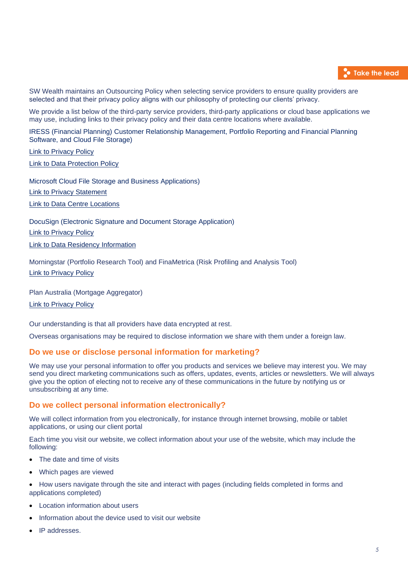

SW Wealth maintains an Outsourcing Policy when selecting service providers to ensure quality providers are selected and that their privacy policy aligns with our philosophy of protecting our clients' privacy.

We provide a list below of the third-party service providers, third-party applications or cloud base applications we may use, including links to their privacy policy and their data centre locations where available.

IRESS (Financial Planning) Customer Relationship Management, Portfolio Reporting and Financial Planning Software, and Cloud File Storage)

[Link to Privacy Policy](https://www.iress.com/resources/legal/privacy-policy/) **[Link to Data Protection Policy](https://www.iress.com/resources/legal/data-protection/)** 

Microsoft Cloud File Storage and Business Applications)

[Link to Privacy Statement](https://privacy.microsoft.com/en-us/privacystatement)

[Link to Data Centre Locations](https://docs.microsoft.com/en-us/office365/enterprise/o365-data-locations)

DocuSign (Electronic Signature and Document Storage Application) [Link to Privacy Policy](https://www.docusign.com/company/privacy-policy) [Link to Data Residency Information](https://www.docusign.com/content/data-residency)

Morningstar (Portfolio Research Tool) and FinaMetrica (Risk Profiling and Analysis Tool) [Link to Privacy Policy](https://www.morningstar.com/company/privacy-center)

Plan Australia (Mortgage Aggregator)

[Link to Privacy Policy](https://www.planaustralia.com.au/privacy-policy/)

Our understanding is that all providers have data encrypted at rest.

Overseas organisations may be required to disclose information we share with them under a foreign law.

#### **Do we use or disclose personal information for marketing?**

We may use your personal information to offer you products and services we believe may interest you. We may send you direct marketing communications such as offers, updates, events, articles or newsletters. We will always give you the option of electing not to receive any of these communications in the future by notifying us or unsubscribing at any time.

#### **Do we collect personal information electronically?**

We will collect information from you electronically, for instance through internet browsing, mobile or tablet applications, or using our client portal

Each time you visit our website, we collect information about your use of the website, which may include the following:

- The date and time of visits
- Which pages are viewed
- How users navigate through the site and interact with pages (including fields completed in forms and applications completed)
- Location information about users
- Information about the device used to visit our website
- IP addresses.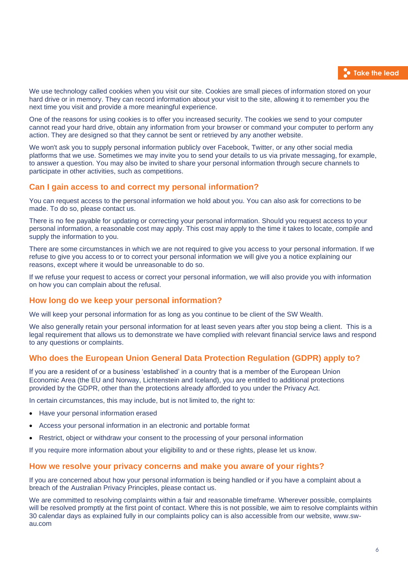We use technology called cookies when you visit our site. Cookies are small pieces of information stored on your hard drive or in memory. They can record information about your visit to the site, allowing it to remember you the next time you visit and provide a more meaningful experience.

One of the reasons for using cookies is to offer you increased security. The cookies we send to your computer cannot read your hard drive, obtain any information from your browser or command your computer to perform any action. They are designed so that they cannot be sent or retrieved by any another website.

We won't ask you to supply personal information publicly over Facebook, Twitter, or any other social media platforms that we use. Sometimes we may invite you to send your details to us via private messaging, for example, to answer a question. You may also be invited to share your personal information through secure channels to participate in other activities, such as competitions.

## **Can I gain access to and correct my personal information?**

You can request access to the personal information we hold about you. You can also ask for corrections to be made. To do so, please contact us.

There is no fee payable for updating or correcting your personal information. Should you request access to your personal information, a reasonable cost may apply. This cost may apply to the time it takes to locate, compile and supply the information to you.

There are some circumstances in which we are not required to give you access to your personal information. If we refuse to give you access to or to correct your personal information we will give you a notice explaining our reasons, except where it would be unreasonable to do so.

If we refuse your request to access or correct your personal information, we will also provide you with information on how you can complain about the refusal.

## **How long do we keep your personal information?**

We will keep your personal information for as long as you continue to be client of the SW Wealth.

We also generally retain your personal information for at least seven years after you stop being a client. This is a legal requirement that allows us to demonstrate we have complied with relevant financial service laws and respond to any questions or complaints.

## **Who does the European Union General Data Protection Regulation (GDPR) apply to?**

If you are a resident of or a business 'established' in a country that is a member of the European Union Economic Area (the EU and Norway, Lichtenstein and Iceland), you are entitled to additional protections provided by the GDPR, other than the protections already afforded to you under the Privacy Act.

In certain circumstances, this may include, but is not limited to, the right to:

- Have your personal information erased
- Access your personal information in an electronic and portable format
- Restrict, object or withdraw your consent to the processing of your personal information

If you require more information about your eligibility to and or these rights, please let us know.

#### **How we resolve your privacy concerns and make you aware of your rights?**

If you are concerned about how your personal information is being handled or if you have a complaint about a breach of the Australian Privacy Principles, please contact us.

We are committed to resolving complaints within a fair and reasonable timeframe. Wherever possible, complaints will be resolved promptly at the first point of contact. Where this is not possible, we aim to resolve complaints within 30 calendar days as explained fully in our complaints policy can is also accessible from our website, www.swau.com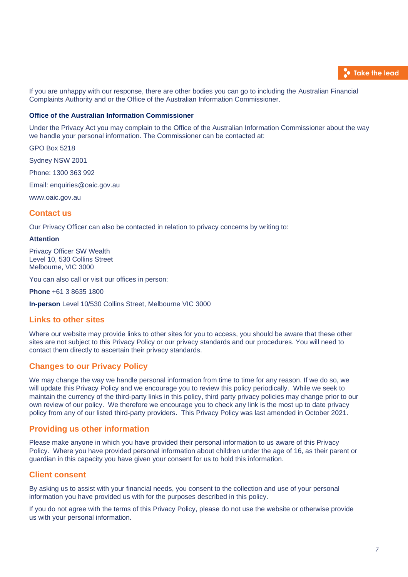

If you are unhappy with our response, there are other bodies you can go to including the Australian Financial Complaints Authority and or the Office of the Australian Information Commissioner.

#### **Office of the Australian Information Commissioner**

Under the Privacy Act you may complain to the Office of the Australian Information Commissioner about the way we handle your personal information. The Commissioner can be contacted at:

GPO Box 5218

Sydney NSW 2001

Phone: 1300 363 992

Email: [enquiries@oaic.gov.au](mailto:enquiries@oaic.gov.au)

[www.oaic.gov.au](http://www.oaic.gov.au/)

#### **Contact us**

Our Privacy Officer can also be contacted in relation to privacy concerns by writing to:

#### **Attention**

Privacy Officer SW Wealth Level 10, 530 Collins Street Melbourne, VIC 3000

You can also call or visit our offices in person:

**Phone** +61 3 8635 1800

**In-person** Level 10/530 Collins Street, Melbourne VIC 3000

## **Links to other sites**

Where our website may provide links to other sites for you to access, you should be aware that these other sites are not subject to this Privacy Policy or our privacy standards and our procedures. You will need to contact them directly to ascertain their privacy standards.

## **Changes to our Privacy Policy**

We may change the way we handle personal information from time to time for any reason. If we do so, we will update this Privacy Policy and we encourage you to review this policy periodically. While we seek to maintain the currency of the third-party links in this policy, third party privacy policies may change prior to our own review of our policy. We therefore we encourage you to check any link is the most up to date privacy policy from any of our listed third-party providers. This Privacy Policy was last amended in October 2021.

#### **Providing us other information**

Please make anyone in which you have provided their personal information to us aware of this Privacy Policy. Where you have provided personal information about children under the age of 16, as their parent or guardian in this capacity you have given your consent for us to hold this information.

#### **Client consent**

By asking us to assist with your financial needs, you consent to the collection and use of your personal information you have provided us with for the purposes described in this policy.

If you do not agree with the terms of this Privacy Policy, please do not use the website or otherwise provide us with your personal information.